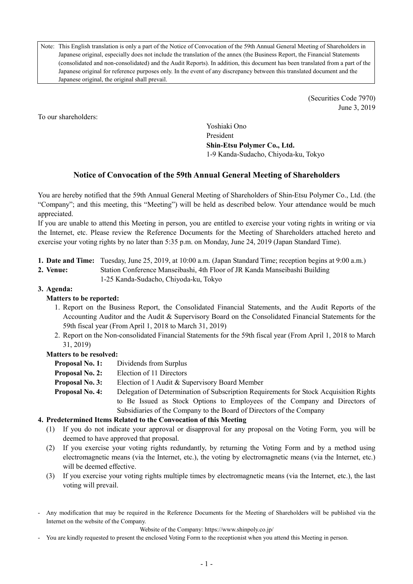Note: This English translation is only a part of the Notice of Convocation of the 59th Annual General Meeting of Shareholders in Japanese original, especially does not include the translation of the annex (the Business Report, the Financial Statements (consolidated and non-consolidated) and the Audit Reports). In addition, this document has been translated from a part of the Japanese original for reference purposes only. In the event of any discrepancy between this translated document and the Japanese original, the original shall prevail.

> (Securities Code 7970) June 3, 2019

To our shareholders:

Yoshiaki Ono President **Shin-Etsu Polymer Co., Ltd.**  1-9 Kanda-Sudacho, Chiyoda-ku, Tokyo

# **Notice of Convocation of the 59th Annual General Meeting of Shareholders**

You are hereby notified that the 59th Annual General Meeting of Shareholders of Shin-Etsu Polymer Co., Ltd. (the "Company"; and this meeting, this "Meeting") will be held as described below. Your attendance would be much appreciated.

If you are unable to attend this Meeting in person, you are entitled to exercise your voting rights in writing or via the Internet, etc. Please review the Reference Documents for the Meeting of Shareholders attached hereto and exercise your voting rights by no later than 5:35 p.m. on Monday, June 24, 2019 (Japan Standard Time).

- **1. Date and Time:** Tuesday, June 25, 2019, at 10:00 a.m. (Japan Standard Time; reception begins at 9:00 a.m.)
- **2. Venue:** Station Conference Manseibashi, 4th Floor of JR Kanda Manseibashi Building
	- 1-25 Kanda-Sudacho, Chiyoda-ku, Tokyo

# **3. Agenda:**

## **Matters to be reported:**

- 1. Report on the Business Report, the Consolidated Financial Statements, and the Audit Reports of the Accounting Auditor and the Audit & Supervisory Board on the Consolidated Financial Statements for the 59th fiscal year (From April 1, 2018 to March 31, 2019)
- 2. Report on the Non-consolidated Financial Statements for the 59th fiscal year (From April 1, 2018 to March 31, 2019)

## **Matters to be resolved:**

- **Proposal No. 1:** Dividends from Surplus
- **Proposal No. 2:** Election of 11 Directors
- **Proposal No. 3:** Election of 1 Audit & Supervisory Board Member
- **Proposal No. 4:** Delegation of Determination of Subscription Requirements for Stock Acquisition Rights to Be Issued as Stock Options to Employees of the Company and Directors of Subsidiaries of the Company to the Board of Directors of the Company

## **4. Predetermined Items Related to the Convocation of this Meeting**

- (1) If you do not indicate your approval or disapproval for any proposal on the Voting Form, you will be deemed to have approved that proposal.
- (2) If you exercise your voting rights redundantly, by returning the Voting Form and by a method using electromagnetic means (via the Internet, etc.), the voting by electromagnetic means (via the Internet, etc.) will be deemed effective.
- (3) If you exercise your voting rights multiple times by electromagnetic means (via the Internet, etc.), the last voting will prevail.
- Any modification that may be required in the Reference Documents for the Meeting of Shareholders will be published via the Internet on the website of the Company.

Website of the Company: https://www.shinpoly.co.jp/

- You are kindly requested to present the enclosed Voting Form to the receptionist when you attend this Meeting in person.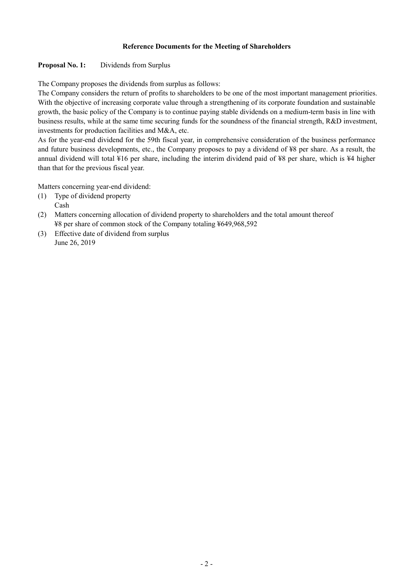#### **Reference Documents for the Meeting of Shareholders**

## Proposal No. 1: Dividends from Surplus

The Company proposes the dividends from surplus as follows:

The Company considers the return of profits to shareholders to be one of the most important management priorities. With the objective of increasing corporate value through a strengthening of its corporate foundation and sustainable growth, the basic policy of the Company is to continue paying stable dividends on a medium-term basis in line with business results, while at the same time securing funds for the soundness of the financial strength, R&D investment, investments for production facilities and M&A, etc.

As for the year-end dividend for the 59th fiscal year, in comprehensive consideration of the business performance and future business developments, etc., the Company proposes to pay a dividend of ¥8 per share. As a result, the annual dividend will total ¥16 per share, including the interim dividend paid of ¥8 per share, which is ¥4 higher than that for the previous fiscal year.

Matters concerning year-end dividend:

- (1) Type of dividend property Cash
- (2) Matters concerning allocation of dividend property to shareholders and the total amount thereof ¥8 per share of common stock of the Company totaling ¥649,968,592
- (3) Effective date of dividend from surplus June 26, 2019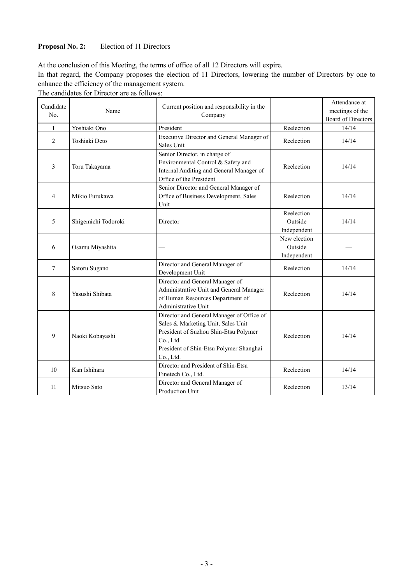# Proposal No. 2: Election of 11 Directors

At the conclusion of this Meeting, the terms of office of all 12 Directors will expire.

In that regard, the Company proposes the election of 11 Directors, lowering the number of Directors by one to enhance the efficiency of the management system.

The candidates for Director are as follows:

| Candidate<br>No. | Name                | Current position and responsibility in the<br>Company                                                                                                                                         |                                        | Attendance at<br>meetings of the<br><b>Board of Directors</b> |
|------------------|---------------------|-----------------------------------------------------------------------------------------------------------------------------------------------------------------------------------------------|----------------------------------------|---------------------------------------------------------------|
| 1                | Yoshiaki Ono        | President                                                                                                                                                                                     | Reelection                             | 14/14                                                         |
| 2                | Toshiaki Deto       | Executive Director and General Manager of<br>Sales Unit                                                                                                                                       | Reelection                             | 14/14                                                         |
| 3                | Toru Takayama       | Senior Director, in charge of<br>Environmental Control & Safety and<br>Internal Auditing and General Manager of<br>Office of the President                                                    | Reelection                             | 14/14                                                         |
| $\overline{4}$   | Mikio Furukawa      | Senior Director and General Manager of<br>Office of Business Development, Sales<br>Unit                                                                                                       | Reelection                             | 14/14                                                         |
| 5                | Shigemichi Todoroki | Director                                                                                                                                                                                      | Reelection<br>Outside<br>Independent   | 14/14                                                         |
| 6                | Osamu Miyashita     |                                                                                                                                                                                               | New election<br>Outside<br>Independent |                                                               |
| $\overline{7}$   | Satoru Sugano       | Director and General Manager of<br>Development Unit                                                                                                                                           | Reelection                             | 14/14                                                         |
| 8                | Yasushi Shibata     | Director and General Manager of<br>Administrative Unit and General Manager<br>of Human Resources Department of<br>Administrative Unit                                                         | Reelection                             | 14/14                                                         |
| 9                | Naoki Kobayashi     | Director and General Manager of Office of<br>Sales & Marketing Unit, Sales Unit<br>President of Suzhou Shin-Etsu Polymer<br>Co., Ltd.<br>President of Shin-Etsu Polymer Shanghai<br>Co., Ltd. | Reelection                             | 14/14                                                         |
| 10               | Kan Ishihara        | Director and President of Shin-Etsu<br>Finetech Co., Ltd.                                                                                                                                     | Reelection                             | 14/14                                                         |
| 11               | Mitsuo Sato         | Director and General Manager of<br>Production Unit                                                                                                                                            | Reelection                             | 13/14                                                         |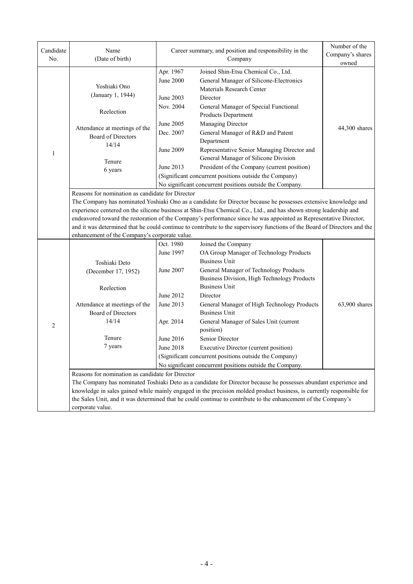| Candidate<br>No. | Name<br>(Date of birth)                                                                                                                                                                                                                                                                                                                                                                                                                                                                                                                                                                                                                                 | Career summary, and position and responsibility in the<br>Company                                    |                                                                                                                                                                                                                                                                                                                                                                                                                                                                                                                                    | Number of the<br>Company's shares<br>owned |  |  |  |  |
|------------------|---------------------------------------------------------------------------------------------------------------------------------------------------------------------------------------------------------------------------------------------------------------------------------------------------------------------------------------------------------------------------------------------------------------------------------------------------------------------------------------------------------------------------------------------------------------------------------------------------------------------------------------------------------|------------------------------------------------------------------------------------------------------|------------------------------------------------------------------------------------------------------------------------------------------------------------------------------------------------------------------------------------------------------------------------------------------------------------------------------------------------------------------------------------------------------------------------------------------------------------------------------------------------------------------------------------|--------------------------------------------|--|--|--|--|
|                  | Yoshiaki Ono                                                                                                                                                                                                                                                                                                                                                                                                                                                                                                                                                                                                                                            | Apr. 1967<br><b>June 2000</b>                                                                        | Joined Shin-Etsu Chemical Co., Ltd.<br>General Manager of Silicone-Electronics<br>Materials Research Center                                                                                                                                                                                                                                                                                                                                                                                                                        |                                            |  |  |  |  |
|                  | (January 1, 1944)<br>Reelection                                                                                                                                                                                                                                                                                                                                                                                                                                                                                                                                                                                                                         | June 2003<br>Nov. 2004                                                                               | Director<br>General Manager of Special Functional<br>Products Department                                                                                                                                                                                                                                                                                                                                                                                                                                                           |                                            |  |  |  |  |
|                  | Attendance at meetings of the<br>Board of Directors<br>14/14                                                                                                                                                                                                                                                                                                                                                                                                                                                                                                                                                                                            | June 2005<br>Dec. 2007                                                                               | Managing Director<br>General Manager of R&D and Patent<br>Department                                                                                                                                                                                                                                                                                                                                                                                                                                                               | 44,300 shares                              |  |  |  |  |
| 1                | Tenure<br>6 years                                                                                                                                                                                                                                                                                                                                                                                                                                                                                                                                                                                                                                       | June 2009<br>June 2013                                                                               | Representative Senior Managing Director and<br>General Manager of Silicone Division<br>President of the Company (current position)<br>(Significant concurrent positions outside the Company)                                                                                                                                                                                                                                                                                                                                       |                                            |  |  |  |  |
|                  | No significant concurrent positions outside the Company.<br>Reasons for nomination as candidate for Director<br>The Company has nominated Yoshiaki Ono as a candidate for Director because he possesses extensive knowledge and<br>experience centered on the silicone business at Shin-Etsu Chemical Co., Ltd., and has shown strong leadership and<br>endeavored toward the restoration of the Company's performance since he was appointed as Representative Director,<br>and it was determined that he could continue to contribute to the supervisory functions of the Board of Directors and the<br>enhancement of the Company's corporate value. |                                                                                                      |                                                                                                                                                                                                                                                                                                                                                                                                                                                                                                                                    |                                            |  |  |  |  |
| $\overline{c}$   | Toshiaki Deto<br>(December 17, 1952)<br>Reelection<br>Attendance at meetings of the<br><b>Board of Directors</b><br>14/14<br>Tenure<br>7 years                                                                                                                                                                                                                                                                                                                                                                                                                                                                                                          | Oct. 1980<br>June 1997<br>June 2007<br>June 2012<br>June 2013<br>Apr. 2014<br>June 2016<br>June 2018 | Joined the Company<br>OA Group Manager of Technology Products<br><b>Business Unit</b><br>General Manager of Technology Products<br>Business Division, High Technology Products<br><b>Business Unit</b><br>Director<br>General Manager of High Technology Products<br><b>Business Unit</b><br>General Manager of Sales Unit (current<br>position)<br>Senior Director<br>Executive Director (current position)<br>(Significant concurrent positions outside the Company)<br>No significant concurrent positions outside the Company. | 63,900 shares                              |  |  |  |  |
|                  | Reasons for nomination as candidate for Director<br>The Company has nominated Toshiaki Deto as a candidate for Director because he possesses abundant experience and<br>knowledge in sales gained while mainly engaged in the precision molded product business, is currently responsible for<br>the Sales Unit, and it was determined that he could continue to contribute to the enhancement of the Company's<br>corporate value.                                                                                                                                                                                                                     |                                                                                                      |                                                                                                                                                                                                                                                                                                                                                                                                                                                                                                                                    |                                            |  |  |  |  |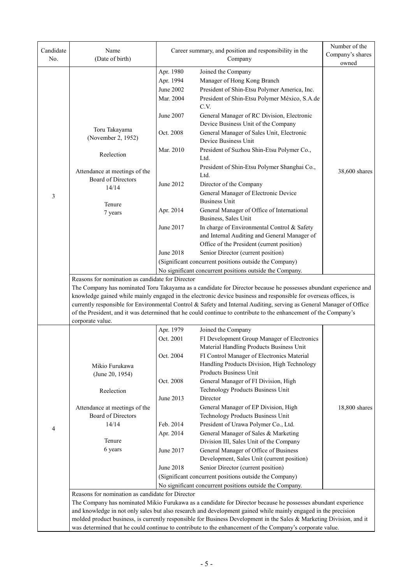| Candidate<br>No. | Name<br>(Date of birth)                                                                                                                                                                                                                                                                                                                                                                                                                                                                              | Career summary, and position and responsibility in the<br>Company |                                                                                                                | Number of the<br>Company's shares<br>owned |  |  |  |
|------------------|------------------------------------------------------------------------------------------------------------------------------------------------------------------------------------------------------------------------------------------------------------------------------------------------------------------------------------------------------------------------------------------------------------------------------------------------------------------------------------------------------|-------------------------------------------------------------------|----------------------------------------------------------------------------------------------------------------|--------------------------------------------|--|--|--|
|                  |                                                                                                                                                                                                                                                                                                                                                                                                                                                                                                      | Apr. 1980                                                         | Joined the Company                                                                                             |                                            |  |  |  |
|                  |                                                                                                                                                                                                                                                                                                                                                                                                                                                                                                      | Apr. 1994                                                         | Manager of Hong Kong Branch                                                                                    |                                            |  |  |  |
|                  |                                                                                                                                                                                                                                                                                                                                                                                                                                                                                                      | June 2002                                                         | President of Shin-Etsu Polymer America, Inc.                                                                   |                                            |  |  |  |
|                  |                                                                                                                                                                                                                                                                                                                                                                                                                                                                                                      | Mar. 2004                                                         | President of Shin-Etsu Polymer México, S.A.de<br>C.V.                                                          |                                            |  |  |  |
|                  |                                                                                                                                                                                                                                                                                                                                                                                                                                                                                                      | June 2007                                                         | General Manager of RC Division, Electronic<br>Device Business Unit of the Company                              |                                            |  |  |  |
|                  | Toru Takayama<br>(November 2, 1952)                                                                                                                                                                                                                                                                                                                                                                                                                                                                  | Oct. 2008                                                         | General Manager of Sales Unit, Electronic<br>Device Business Unit                                              |                                            |  |  |  |
|                  | Reelection                                                                                                                                                                                                                                                                                                                                                                                                                                                                                           | Mar. 2010                                                         | President of Suzhou Shin-Etsu Polymer Co.,<br>Ltd.                                                             |                                            |  |  |  |
|                  | Attendance at meetings of the                                                                                                                                                                                                                                                                                                                                                                                                                                                                        |                                                                   | President of Shin-Etsu Polymer Shanghai Co.,                                                                   | 38,600 shares                              |  |  |  |
|                  | <b>Board of Directors</b>                                                                                                                                                                                                                                                                                                                                                                                                                                                                            |                                                                   | Ltd.                                                                                                           |                                            |  |  |  |
|                  | 14/14                                                                                                                                                                                                                                                                                                                                                                                                                                                                                                | June 2012                                                         | Director of the Company                                                                                        |                                            |  |  |  |
| 3                |                                                                                                                                                                                                                                                                                                                                                                                                                                                                                                      |                                                                   | General Manager of Electronic Device<br><b>Business Unit</b>                                                   |                                            |  |  |  |
|                  | Tenure<br>7 years                                                                                                                                                                                                                                                                                                                                                                                                                                                                                    | Apr. 2014                                                         | General Manager of Office of International<br>Business, Sales Unit                                             |                                            |  |  |  |
|                  |                                                                                                                                                                                                                                                                                                                                                                                                                                                                                                      | June 2017                                                         | In charge of Environmental Control & Safety                                                                    |                                            |  |  |  |
|                  |                                                                                                                                                                                                                                                                                                                                                                                                                                                                                                      |                                                                   | and Internal Auditing and General Manager of                                                                   |                                            |  |  |  |
|                  |                                                                                                                                                                                                                                                                                                                                                                                                                                                                                                      |                                                                   | Office of the President (current position)                                                                     |                                            |  |  |  |
|                  |                                                                                                                                                                                                                                                                                                                                                                                                                                                                                                      | <b>June 2018</b>                                                  | Senior Director (current position)                                                                             |                                            |  |  |  |
|                  |                                                                                                                                                                                                                                                                                                                                                                                                                                                                                                      |                                                                   | (Significant concurrent positions outside the Company)                                                         |                                            |  |  |  |
|                  | No significant concurrent positions outside the Company.<br>Reasons for nomination as candidate for Director                                                                                                                                                                                                                                                                                                                                                                                         |                                                                   |                                                                                                                |                                            |  |  |  |
|                  | The Company has nominated Toru Takayama as a candidate for Director because he possesses abundant experience and<br>knowledge gained while mainly engaged in the electronic device business and responsible for overseas offices, is<br>currently responsible for Environmental Control & Safety and Internal Auditing, serving as General Manager of Office<br>of the President, and it was determined that he could continue to contribute to the enhancement of the Company's<br>corporate value. |                                                                   |                                                                                                                |                                            |  |  |  |
|                  |                                                                                                                                                                                                                                                                                                                                                                                                                                                                                                      | Apr. 1979                                                         | Joined the Company                                                                                             |                                            |  |  |  |
|                  |                                                                                                                                                                                                                                                                                                                                                                                                                                                                                                      | Oct. 2001                                                         | FI Development Group Manager of Electronics<br>Material Handling Products Business Unit                        |                                            |  |  |  |
|                  |                                                                                                                                                                                                                                                                                                                                                                                                                                                                                                      | Oct. 2004                                                         | FI Control Manager of Electronics Material                                                                     |                                            |  |  |  |
|                  | Mikio Furukawa                                                                                                                                                                                                                                                                                                                                                                                                                                                                                       |                                                                   | Handling Products Division, High Technology                                                                    |                                            |  |  |  |
|                  | (June 20, 1954)                                                                                                                                                                                                                                                                                                                                                                                                                                                                                      |                                                                   | Products Business Unit                                                                                         |                                            |  |  |  |
|                  | Reelection                                                                                                                                                                                                                                                                                                                                                                                                                                                                                           | Oct. 2008                                                         | General Manager of FI Division, High<br>Technology Products Business Unit                                      |                                            |  |  |  |
|                  |                                                                                                                                                                                                                                                                                                                                                                                                                                                                                                      | June 2013                                                         | Director                                                                                                       |                                            |  |  |  |
|                  | Attendance at meetings of the                                                                                                                                                                                                                                                                                                                                                                                                                                                                        |                                                                   | General Manager of EP Division, High                                                                           | 18,800 shares                              |  |  |  |
|                  | Board of Directors                                                                                                                                                                                                                                                                                                                                                                                                                                                                                   |                                                                   | Technology Products Business Unit                                                                              |                                            |  |  |  |
| 4                | 14/14                                                                                                                                                                                                                                                                                                                                                                                                                                                                                                | Feb. 2014                                                         | President of Urawa Polymer Co., Ltd.                                                                           |                                            |  |  |  |
|                  | Tenure                                                                                                                                                                                                                                                                                                                                                                                                                                                                                               | Apr. 2014                                                         | General Manager of Sales & Marketing                                                                           |                                            |  |  |  |
|                  | 6 years                                                                                                                                                                                                                                                                                                                                                                                                                                                                                              | June 2017                                                         | Division III, Sales Unit of the Company                                                                        |                                            |  |  |  |
|                  |                                                                                                                                                                                                                                                                                                                                                                                                                                                                                                      |                                                                   | General Manager of Office of Business<br>Development, Sales Unit (current position)                            |                                            |  |  |  |
|                  |                                                                                                                                                                                                                                                                                                                                                                                                                                                                                                      | <b>June 2018</b>                                                  | Senior Director (current position)                                                                             |                                            |  |  |  |
|                  |                                                                                                                                                                                                                                                                                                                                                                                                                                                                                                      |                                                                   | (Significant concurrent positions outside the Company)                                                         |                                            |  |  |  |
|                  |                                                                                                                                                                                                                                                                                                                                                                                                                                                                                                      |                                                                   | No significant concurrent positions outside the Company.                                                       |                                            |  |  |  |
|                  | Reasons for nomination as candidate for Director                                                                                                                                                                                                                                                                                                                                                                                                                                                     |                                                                   |                                                                                                                |                                            |  |  |  |
|                  |                                                                                                                                                                                                                                                                                                                                                                                                                                                                                                      |                                                                   | The Company has nominated Mikio Furukawa as a candidate for Director because he possesses abundant experience  |                                            |  |  |  |
|                  |                                                                                                                                                                                                                                                                                                                                                                                                                                                                                                      |                                                                   | and knowledge in not only sales but also research and development gained while mainly engaged in the precision |                                            |  |  |  |
|                  | molded product business, is currently responsible for Business Development in the Sales & Marketing Division, and it<br>was determined that he could continue to contribute to the enhancement of the Company's corporate value.                                                                                                                                                                                                                                                                     |                                                                   |                                                                                                                |                                            |  |  |  |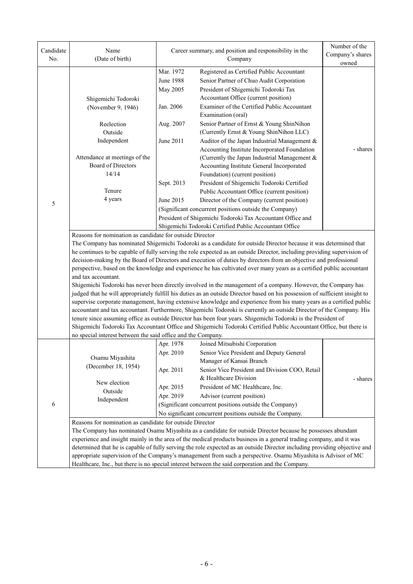| Candidate<br>No. | Name<br>(Date of birth)                                                                                                                                                                                                                     | Career summary, and position and responsibility in the                                                                                               | Number of the<br>Company's shares<br>owned                                                                                |          |  |  |  |  |
|------------------|---------------------------------------------------------------------------------------------------------------------------------------------------------------------------------------------------------------------------------------------|------------------------------------------------------------------------------------------------------------------------------------------------------|---------------------------------------------------------------------------------------------------------------------------|----------|--|--|--|--|
|                  |                                                                                                                                                                                                                                             | Mar. 1972                                                                                                                                            | Registered as Certified Public Accountant                                                                                 |          |  |  |  |  |
|                  |                                                                                                                                                                                                                                             | <b>June 1988</b>                                                                                                                                     | Senior Partner of Chuo Audit Corporation                                                                                  |          |  |  |  |  |
|                  |                                                                                                                                                                                                                                             | May 2005                                                                                                                                             | President of Shigemichi Todoroki Tax                                                                                      |          |  |  |  |  |
|                  | Shigemichi Todoroki                                                                                                                                                                                                                         |                                                                                                                                                      | Accountant Office (current position)                                                                                      |          |  |  |  |  |
|                  | (November 9, 1946)                                                                                                                                                                                                                          | Jan. 2006                                                                                                                                            | Examiner of the Certified Public Accountant                                                                               |          |  |  |  |  |
|                  |                                                                                                                                                                                                                                             |                                                                                                                                                      | Examination (oral)                                                                                                        |          |  |  |  |  |
|                  | Reelection                                                                                                                                                                                                                                  | Aug. 2007                                                                                                                                            | Senior Partner of Ernst & Young ShinNihon                                                                                 |          |  |  |  |  |
|                  | Outside                                                                                                                                                                                                                                     | (Currently Ernst & Young ShinNihon LLC)<br>June 2011<br>Auditor of the Japan Industrial Management &<br>Accounting Institute Incorporated Foundation |                                                                                                                           |          |  |  |  |  |
|                  | Independent                                                                                                                                                                                                                                 |                                                                                                                                                      |                                                                                                                           |          |  |  |  |  |
|                  |                                                                                                                                                                                                                                             |                                                                                                                                                      |                                                                                                                           | - shares |  |  |  |  |
|                  | Attendance at meetings of the                                                                                                                                                                                                               |                                                                                                                                                      | (Currently the Japan Industrial Management &                                                                              |          |  |  |  |  |
|                  | Board of Directors                                                                                                                                                                                                                          |                                                                                                                                                      | Accounting Institute General Incorporated                                                                                 |          |  |  |  |  |
|                  | 14/14                                                                                                                                                                                                                                       |                                                                                                                                                      | Foundation) (current position)                                                                                            |          |  |  |  |  |
|                  |                                                                                                                                                                                                                                             | Sept. 2013                                                                                                                                           | President of Shigemichi Todoroki Certified                                                                                |          |  |  |  |  |
|                  | Tenure                                                                                                                                                                                                                                      |                                                                                                                                                      | Public Accountant Office (current position)                                                                               |          |  |  |  |  |
| 5                | 4 years                                                                                                                                                                                                                                     | June 2015<br>Director of the Company (current position)                                                                                              |                                                                                                                           |          |  |  |  |  |
|                  |                                                                                                                                                                                                                                             |                                                                                                                                                      |                                                                                                                           |          |  |  |  |  |
|                  |                                                                                                                                                                                                                                             |                                                                                                                                                      |                                                                                                                           |          |  |  |  |  |
|                  | Shigemichi Todoroki Certified Public Accountant Office                                                                                                                                                                                      |                                                                                                                                                      |                                                                                                                           |          |  |  |  |  |
|                  | Reasons for nomination as candidate for outside Director                                                                                                                                                                                    |                                                                                                                                                      |                                                                                                                           |          |  |  |  |  |
|                  | The Company has nominated Shigemichi Todoroki as a candidate for outside Director because it was determined that                                                                                                                            |                                                                                                                                                      |                                                                                                                           |          |  |  |  |  |
|                  | he continues to be capable of fully serving the role expected as an outside Director, including providing supervision of                                                                                                                    |                                                                                                                                                      |                                                                                                                           |          |  |  |  |  |
|                  | decision-making by the Board of Directors and execution of duties by directors from an objective and professional                                                                                                                           |                                                                                                                                                      |                                                                                                                           |          |  |  |  |  |
|                  | perspective, based on the knowledge and experience he has cultivated over many years as a certified public accountant                                                                                                                       |                                                                                                                                                      |                                                                                                                           |          |  |  |  |  |
|                  | and tax accountant.                                                                                                                                                                                                                         |                                                                                                                                                      |                                                                                                                           |          |  |  |  |  |
|                  | Shigemichi Todoroki has never been directly involved in the management of a company. However, the Company has                                                                                                                               |                                                                                                                                                      |                                                                                                                           |          |  |  |  |  |
|                  | judged that he will appropriately fulfill his duties as an outside Director based on his possession of sufficient insight to                                                                                                                |                                                                                                                                                      |                                                                                                                           |          |  |  |  |  |
|                  | supervise corporate management, having extensive knowledge and experience from his many years as a certified public<br>accountant and tax accountant. Furthermore, Shigemichi Todoroki is currently an outside Director of the Company. His |                                                                                                                                                      |                                                                                                                           |          |  |  |  |  |
|                  | tenure since assuming office as outside Director has been four years. Shigemichi Todoroki is the President of                                                                                                                               |                                                                                                                                                      |                                                                                                                           |          |  |  |  |  |
|                  | Shigemichi Todoroki Tax Accountant Office and Shigemichi Todoroki Certified Public Accountant Office, but there is                                                                                                                          |                                                                                                                                                      |                                                                                                                           |          |  |  |  |  |
|                  | no special interest between the said office and the Company.                                                                                                                                                                                |                                                                                                                                                      |                                                                                                                           |          |  |  |  |  |
|                  |                                                                                                                                                                                                                                             | Apr. 1978                                                                                                                                            | Joined Mitsubishi Corporation                                                                                             |          |  |  |  |  |
|                  |                                                                                                                                                                                                                                             | Apr. 2010                                                                                                                                            | Senior Vice President and Deputy General                                                                                  |          |  |  |  |  |
|                  | Osamu Miyashita                                                                                                                                                                                                                             |                                                                                                                                                      | Manager of Kansai Branch                                                                                                  |          |  |  |  |  |
|                  | (December 18, 1954)                                                                                                                                                                                                                         | Apr. 2011                                                                                                                                            | Senior Vice President and Division COO, Retail                                                                            |          |  |  |  |  |
|                  |                                                                                                                                                                                                                                             |                                                                                                                                                      | & Healthcare Division                                                                                                     | - shares |  |  |  |  |
|                  | New election                                                                                                                                                                                                                                | Apr. 2015                                                                                                                                            | President of MC Healthcare, Inc.                                                                                          |          |  |  |  |  |
|                  | Outside<br>Independent                                                                                                                                                                                                                      | Apr. 2019                                                                                                                                            | Advisor (current position)                                                                                                |          |  |  |  |  |
| 6                |                                                                                                                                                                                                                                             |                                                                                                                                                      | (Significant concurrent positions outside the Company)                                                                    |          |  |  |  |  |
|                  | No significant concurrent positions outside the Company.                                                                                                                                                                                    |                                                                                                                                                      |                                                                                                                           |          |  |  |  |  |
|                  | Reasons for nomination as candidate for outside Director                                                                                                                                                                                    |                                                                                                                                                      |                                                                                                                           |          |  |  |  |  |
|                  |                                                                                                                                                                                                                                             |                                                                                                                                                      | The Company has nominated Osamu Miyashita as a candidate for outside Director because he possesses abundant               |          |  |  |  |  |
|                  |                                                                                                                                                                                                                                             |                                                                                                                                                      | experience and insight mainly in the area of the medical products business in a general trading company, and it was       |          |  |  |  |  |
|                  |                                                                                                                                                                                                                                             |                                                                                                                                                      | determined that he is capable of fully serving the role expected as an outside Director including providing objective and |          |  |  |  |  |
|                  |                                                                                                                                                                                                                                             |                                                                                                                                                      | appropriate supervision of the Company's management from such a perspective. Osamu Miyashita is Advisor of MC             |          |  |  |  |  |
|                  | Healthcare, Inc., but there is no special interest between the said corporation and the Company.                                                                                                                                            |                                                                                                                                                      |                                                                                                                           |          |  |  |  |  |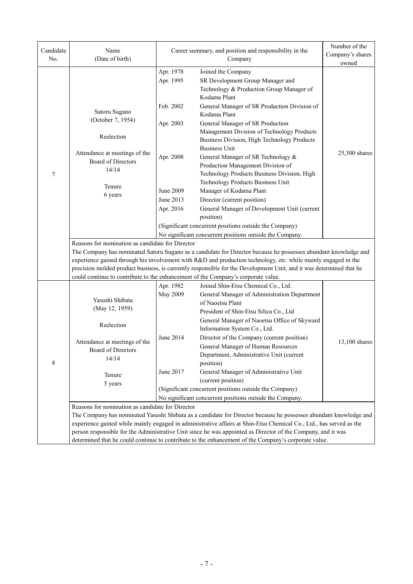| Candidate | Name                                                                                                                | Career summary, and position and responsibility in the                                               | Number of the<br>Company's shares                                                                                   |                 |  |  |  |
|-----------|---------------------------------------------------------------------------------------------------------------------|------------------------------------------------------------------------------------------------------|---------------------------------------------------------------------------------------------------------------------|-----------------|--|--|--|
| No.       | (Date of birth)                                                                                                     |                                                                                                      | owned                                                                                                               |                 |  |  |  |
|           |                                                                                                                     | Apr. 1978                                                                                            | Joined the Company                                                                                                  |                 |  |  |  |
|           |                                                                                                                     | Apr. 1995                                                                                            | SR Development Group Manager and                                                                                    |                 |  |  |  |
|           |                                                                                                                     |                                                                                                      | Technology & Production Group Manager of                                                                            |                 |  |  |  |
|           |                                                                                                                     |                                                                                                      | Kodama Plant                                                                                                        |                 |  |  |  |
|           | Satoru Sugano                                                                                                       | Feb. 2002                                                                                            | General Manager of SR Production Division of<br>Kodama Plant                                                        |                 |  |  |  |
|           | (October 7, 1954)                                                                                                   | Apr. 2003                                                                                            | General Manager of SR Production                                                                                    |                 |  |  |  |
|           |                                                                                                                     |                                                                                                      | Management Division of Technology Products                                                                          |                 |  |  |  |
|           | Reelection                                                                                                          |                                                                                                      | Business Division, High Technology Products                                                                         |                 |  |  |  |
|           | Attendance at meetings of the                                                                                       |                                                                                                      | <b>Business Unit</b>                                                                                                | $25,300$ shares |  |  |  |
|           | Board of Directors                                                                                                  | Apr. 2008                                                                                            | General Manager of SR Technology &<br>Production Management Division of                                             |                 |  |  |  |
| 7         | 14/14                                                                                                               |                                                                                                      | Technology Products Business Division, High                                                                         |                 |  |  |  |
|           |                                                                                                                     |                                                                                                      | Technology Products Business Unit                                                                                   |                 |  |  |  |
|           | Tenure<br>6 years                                                                                                   | <b>June 2009</b>                                                                                     | Manager of Kodama Plant                                                                                             |                 |  |  |  |
|           |                                                                                                                     | June 2013                                                                                            | Director (current position)                                                                                         |                 |  |  |  |
|           |                                                                                                                     | Apr. 2016                                                                                            | General Manager of Development Unit (current                                                                        |                 |  |  |  |
|           |                                                                                                                     |                                                                                                      | position)                                                                                                           |                 |  |  |  |
|           |                                                                                                                     |                                                                                                      | (Significant concurrent positions outside the Company)                                                              |                 |  |  |  |
|           | No significant concurrent positions outside the Company.<br>Reasons for nomination as candidate for Director        |                                                                                                      |                                                                                                                     |                 |  |  |  |
|           | The Company has nominated Satoru Sugano as a candidate for Director because he possesses abundant knowledge and     |                                                                                                      |                                                                                                                     |                 |  |  |  |
|           | experience gained through his involvement with R&D and production technology, etc. while mainly engaged in the      |                                                                                                      |                                                                                                                     |                 |  |  |  |
|           | precision molded product business, is currently responsible for the Development Unit, and it was determined that he |                                                                                                      |                                                                                                                     |                 |  |  |  |
|           |                                                                                                                     |                                                                                                      | could continue to contribute to the enhancement of the Company's corporate value.                                   |                 |  |  |  |
|           |                                                                                                                     | Apr. 1982                                                                                            | Joined Shin-Etsu Chemical Co., Ltd.                                                                                 |                 |  |  |  |
|           | Yasushi Shibata                                                                                                     | <b>May 2009</b>                                                                                      | General Manager of Administration Department<br>of Naoetsu Plant                                                    |                 |  |  |  |
|           | (May 12, 1959)                                                                                                      |                                                                                                      | President of Shin-Etsu Silica Co., Ltd                                                                              |                 |  |  |  |
|           |                                                                                                                     |                                                                                                      | General Manager of Naoetsu Office of Skyward                                                                        |                 |  |  |  |
|           | Reelection                                                                                                          |                                                                                                      | Information System Co., Ltd.                                                                                        |                 |  |  |  |
|           | Attendance at meetings of the                                                                                       | June 2014                                                                                            | Director of the Company (current position)                                                                          | 13,100 shares   |  |  |  |
|           | Board of Directors                                                                                                  |                                                                                                      | General Manager of Human Resources                                                                                  |                 |  |  |  |
|           | 14/14                                                                                                               |                                                                                                      | Department, Administrative Unit (current                                                                            |                 |  |  |  |
| 8         |                                                                                                                     |                                                                                                      | position)                                                                                                           |                 |  |  |  |
|           | Tenure                                                                                                              | June 2017                                                                                            | General Manager of Administrative Unit<br>(current position)                                                        |                 |  |  |  |
|           | 5 years                                                                                                             |                                                                                                      | (Significant concurrent positions outside the Company)                                                              |                 |  |  |  |
|           |                                                                                                                     |                                                                                                      | No significant concurrent positions outside the Company.                                                            |                 |  |  |  |
|           | Reasons for nomination as candidate for Director                                                                    |                                                                                                      |                                                                                                                     |                 |  |  |  |
|           |                                                                                                                     |                                                                                                      | The Company has nominated Yasushi Shibata as a candidate for Director because he possesses abundant knowledge and   |                 |  |  |  |
|           |                                                                                                                     |                                                                                                      | experience gained while mainly engaged in administrative affairs at Shin-Etsu Chemical Co., Ltd., has served as the |                 |  |  |  |
|           | person responsible for the Administrative Unit since he was appointed as Director of the Company, and it was        |                                                                                                      |                                                                                                                     |                 |  |  |  |
|           |                                                                                                                     | determined that he could continue to contribute to the enhancement of the Company's corporate value. |                                                                                                                     |                 |  |  |  |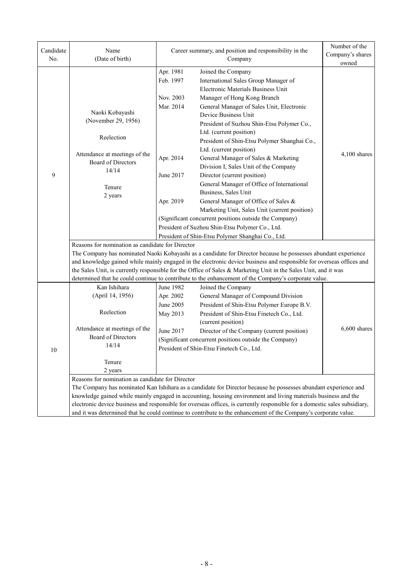| Candidate | Name                                                                                                            | Career summary, and position and responsibility in the | Number of the                                                                                                                                                                                                                           |                |  |  |
|-----------|-----------------------------------------------------------------------------------------------------------------|--------------------------------------------------------|-----------------------------------------------------------------------------------------------------------------------------------------------------------------------------------------------------------------------------------------|----------------|--|--|
| No.       | (Date of birth)                                                                                                 |                                                        | Company's shares<br>owned                                                                                                                                                                                                               |                |  |  |
|           |                                                                                                                 | Apr. 1981                                              | Joined the Company                                                                                                                                                                                                                      |                |  |  |
|           |                                                                                                                 | Feb. 1997                                              | International Sales Group Manager of                                                                                                                                                                                                    |                |  |  |
|           |                                                                                                                 |                                                        | Electronic Materials Business Unit                                                                                                                                                                                                      |                |  |  |
|           |                                                                                                                 | Nov. 2003                                              | Manager of Hong Kong Branch                                                                                                                                                                                                             |                |  |  |
|           | Naoki Kobayashi                                                                                                 | Mar. 2014                                              | General Manager of Sales Unit, Electronic                                                                                                                                                                                               |                |  |  |
|           | (November 29, 1956)                                                                                             |                                                        | Device Business Unit                                                                                                                                                                                                                    |                |  |  |
|           |                                                                                                                 |                                                        | President of Suzhou Shin-Etsu Polymer Co.,<br>Ltd. (current position)                                                                                                                                                                   |                |  |  |
|           | Reelection                                                                                                      |                                                        | President of Shin-Etsu Polymer Shanghai Co.,                                                                                                                                                                                            |                |  |  |
|           |                                                                                                                 |                                                        | Ltd. (current position)                                                                                                                                                                                                                 |                |  |  |
|           | Attendance at meetings of the                                                                                   | Apr. 2014                                              | General Manager of Sales & Marketing                                                                                                                                                                                                    | 4,100 shares   |  |  |
|           | <b>Board of Directors</b>                                                                                       |                                                        | Division I, Sales Unit of the Company                                                                                                                                                                                                   |                |  |  |
| 9         | 14/14                                                                                                           | June 2017                                              | Director (current position)                                                                                                                                                                                                             |                |  |  |
|           | Tenure                                                                                                          |                                                        | General Manager of Office of International                                                                                                                                                                                              |                |  |  |
|           | 2 years                                                                                                         |                                                        | Business, Sales Unit                                                                                                                                                                                                                    |                |  |  |
|           |                                                                                                                 | Apr. 2019                                              | General Manager of Office of Sales &                                                                                                                                                                                                    |                |  |  |
|           |                                                                                                                 |                                                        | Marketing Unit, Sales Unit (current position)                                                                                                                                                                                           |                |  |  |
|           |                                                                                                                 |                                                        | (Significant concurrent positions outside the Company)                                                                                                                                                                                  |                |  |  |
|           |                                                                                                                 |                                                        | President of Suzhou Shin-Etsu Polymer Co., Ltd.                                                                                                                                                                                         |                |  |  |
|           |                                                                                                                 |                                                        | President of Shin-Etsu Polymer Shanghai Co., Ltd.                                                                                                                                                                                       |                |  |  |
|           | Reasons for nomination as candidate for Director                                                                |                                                        |                                                                                                                                                                                                                                         |                |  |  |
|           |                                                                                                                 |                                                        | The Company has nominated Naoki Kobayashi as a candidate for Director because he possesses abundant experience                                                                                                                          |                |  |  |
|           |                                                                                                                 |                                                        | and knowledge gained while mainly engaged in the electronic device business and responsible for overseas offices and<br>the Sales Unit, is currently responsible for the Office of Sales & Marketing Unit in the Sales Unit, and it was |                |  |  |
|           |                                                                                                                 |                                                        | determined that he could continue to contribute to the enhancement of the Company's corporate value.                                                                                                                                    |                |  |  |
|           | Kan Ishihara                                                                                                    | June 1982                                              | Joined the Company                                                                                                                                                                                                                      |                |  |  |
|           | (April 14, 1956)                                                                                                | Apr. 2002                                              | General Manager of Compound Division                                                                                                                                                                                                    |                |  |  |
|           |                                                                                                                 | June 2005                                              | President of Shin-Etsu Polymer Europe B.V.                                                                                                                                                                                              |                |  |  |
|           | Reelection                                                                                                      | May 2013                                               | President of Shin-Etsu Finetech Co., Ltd.                                                                                                                                                                                               |                |  |  |
|           |                                                                                                                 |                                                        | (current position)                                                                                                                                                                                                                      |                |  |  |
|           | Attendance at meetings of the                                                                                   | June 2017                                              | Director of the Company (current position)                                                                                                                                                                                              | $6,600$ shares |  |  |
|           | <b>Board of Directors</b>                                                                                       |                                                        | (Significant concurrent positions outside the Company)                                                                                                                                                                                  |                |  |  |
| 10        | 14/14                                                                                                           | President of Shin-Etsu Finetech Co., Ltd.              |                                                                                                                                                                                                                                         |                |  |  |
|           | Tenure                                                                                                          |                                                        |                                                                                                                                                                                                                                         |                |  |  |
|           | 2 years                                                                                                         |                                                        |                                                                                                                                                                                                                                         |                |  |  |
|           | Reasons for nomination as candidate for Director                                                                |                                                        |                                                                                                                                                                                                                                         |                |  |  |
|           |                                                                                                                 |                                                        | The Company has nominated Kan Ishihara as a candidate for Director because he possesses abundant experience and                                                                                                                         |                |  |  |
|           |                                                                                                                 |                                                        | knowledge gained while mainly engaged in accounting, housing environment and living materials business and the                                                                                                                          |                |  |  |
|           |                                                                                                                 |                                                        | electronic device business and responsible for overseas offices, is currently responsible for a domestic sales subsidiary,                                                                                                              |                |  |  |
|           | and it was determined that he could continue to contribute to the enhancement of the Company's corporate value. |                                                        |                                                                                                                                                                                                                                         |                |  |  |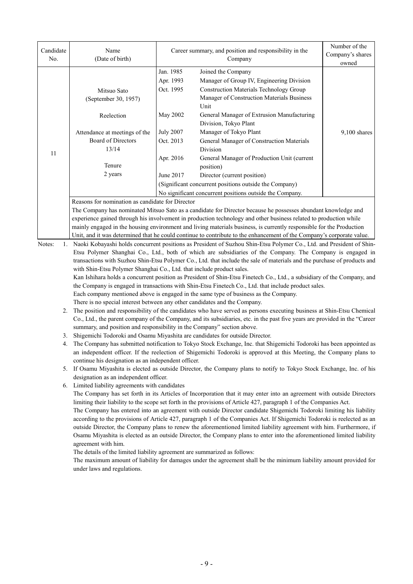| Candidate<br>No. | Name<br>(Date of birth)                                                                                           | Career summary, and position and responsibility in the                                             | Number of the<br>Company's shares<br>owned               |                |  |  |
|------------------|-------------------------------------------------------------------------------------------------------------------|----------------------------------------------------------------------------------------------------|----------------------------------------------------------|----------------|--|--|
|                  |                                                                                                                   | Jan. 1985                                                                                          | Joined the Company                                       |                |  |  |
|                  |                                                                                                                   | Apr. 1993                                                                                          | Manager of Group IV, Engineering Division                |                |  |  |
|                  | Mitsuo Sato                                                                                                       | Oct. 1995                                                                                          | <b>Construction Materials Technology Group</b>           |                |  |  |
|                  | (September 30, 1957)                                                                                              |                                                                                                    | Manager of Construction Materials Business               |                |  |  |
|                  |                                                                                                                   |                                                                                                    | Unit                                                     |                |  |  |
|                  | Reelection                                                                                                        | May 2002                                                                                           | General Manager of Extrusion Manufacturing               |                |  |  |
|                  |                                                                                                                   |                                                                                                    | Division, Tokyo Plant                                    |                |  |  |
|                  | <b>July 2007</b><br>Manager of Tokyo Plant<br>Attendance at meetings of the                                       |                                                                                                    |                                                          | $9,100$ shares |  |  |
|                  | Board of Directors                                                                                                | Oct. 2013                                                                                          | General Manager of Construction Materials                |                |  |  |
| 11               | 13/14                                                                                                             |                                                                                                    | Division                                                 |                |  |  |
|                  |                                                                                                                   | Apr. 2016                                                                                          | General Manager of Production Unit (current              |                |  |  |
|                  | Tenure                                                                                                            |                                                                                                    | position)                                                |                |  |  |
|                  | 2 years                                                                                                           | June 2017<br>Director (current position)<br>(Significant concurrent positions outside the Company) |                                                          |                |  |  |
|                  |                                                                                                                   |                                                                                                    |                                                          |                |  |  |
|                  |                                                                                                                   |                                                                                                    | No significant concurrent positions outside the Company. |                |  |  |
|                  | Reasons for nomination as candidate for Director                                                                  |                                                                                                    |                                                          |                |  |  |
|                  | The Company has nominated Mitsuo Sato as a candidate for Director because he possesses abundant knowledge and     |                                                                                                    |                                                          |                |  |  |
|                  | experience gained through his involvement in production technology and other business related to production while |                                                                                                    |                                                          |                |  |  |

is involvement in production technology and other business related to produ mainly engaged in the housing environment and living materials business, is currently responsible for the Production Unit, and it was determined that he could continue to contribute to the enhancement of the Company's corporate value.

Notes: 1. Naoki Kobayashi holds concurrent positions as President of Suzhou Shin-Etsu Polymer Co., Ltd. and President of Shin-Etsu Polymer Shanghai Co., Ltd., both of which are subsidiaries of the Company. The Company is engaged in transactions with Suzhou Shin-Etsu Polymer Co., Ltd. that include the sale of materials and the purchase of products and with Shin-Etsu Polymer Shanghai Co., Ltd. that include product sales. Kan Ishihara holds a concurrent position as President of Shin-Etsu Finetech Co., Ltd., a subsidiary of the Company, and

the Company is engaged in transactions with Shin-Etsu Finetech Co., Ltd. that include product sales.

Each company mentioned above is engaged in the same type of business as the Company.

There is no special interest between any other candidates and the Company.

- 2. The position and responsibility of the candidates who have served as persons executing business at Shin-Etsu Chemical Co., Ltd., the parent company of the Company, and its subsidiaries, etc. in the past five years are provided in the "Career summary, and position and responsibility in the Company" section above.
- 3. Shigemichi Todoroki and Osamu Miyashita are candidates for outside Director.
- 4. The Company has submitted notification to Tokyo Stock Exchange, Inc. that Shigemichi Todoroki has been appointed as an independent officer. If the reelection of Shigemichi Todoroki is approved at this Meeting, the Company plans to continue his designation as an independent officer.
- 5. If Osamu Miyashita is elected as outside Director, the Company plans to notify to Tokyo Stock Exchange, Inc. of his designation as an independent officer.
- 6. Limited liability agreements with candidates

The Company has set forth in its Articles of Incorporation that it may enter into an agreement with outside Directors limiting their liability to the scope set forth in the provisions of Article 427, paragraph 1 of the Companies Act.

The Company has entered into an agreement with outside Director candidate Shigemichi Todoroki limiting his liability according to the provisions of Article 427, paragraph 1 of the Companies Act. If Shigemichi Todoroki is reelected as an outside Director, the Company plans to renew the aforementioned limited liability agreement with him. Furthermore, if Osamu Miyashita is elected as an outside Director, the Company plans to enter into the aforementioned limited liability agreement with him.

The details of the limited liability agreement are summarized as follows:

The maximum amount of liability for damages under the agreement shall be the minimum liability amount provided for under laws and regulations.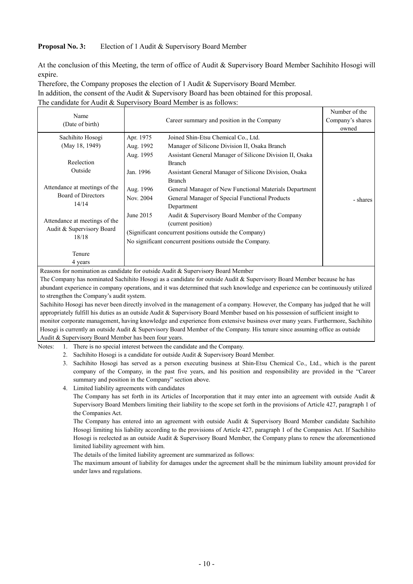#### **Proposal No. 3:** Election of 1 Audit & Supervisory Board Member

At the conclusion of this Meeting, the term of office of Audit & Supervisory Board Member Sachihito Hosogi will expire.

Therefore, the Company proposes the election of 1 Audit & Supervisory Board Member.

In addition, the consent of the Audit & Supervisory Board has been obtained for this proposal.

The candidate for Audit & Supervisory Board Member is as follows:

| Name                          |                                                          |                                                          | Number of the |  |  |
|-------------------------------|----------------------------------------------------------|----------------------------------------------------------|---------------|--|--|
| (Date of birth)               |                                                          | Company's shares                                         |               |  |  |
|                               |                                                          |                                                          | owned         |  |  |
| Sachihito Hosogi              | Apr. 1975                                                | Joined Shin-Etsu Chemical Co., Ltd.                      |               |  |  |
| (May 18, 1949)                | Aug. 1992                                                | Manager of Silicone Division II, Osaka Branch            |               |  |  |
|                               | Aug. 1995                                                | Assistant General Manager of Silicone Division II, Osaka |               |  |  |
| Reelection                    |                                                          | <b>Branch</b>                                            |               |  |  |
| Outside                       | Jan. 1996                                                | Assistant General Manager of Silicone Division, Osaka    |               |  |  |
|                               |                                                          | <b>Branch</b>                                            |               |  |  |
| Attendance at meetings of the | Aug. 1996                                                | General Manager of New Functional Materials Department   |               |  |  |
| <b>Board of Directors</b>     | Nov. 2004                                                | General Manager of Special Functional Products           | - shares      |  |  |
| 14/14                         |                                                          | Department                                               |               |  |  |
|                               | June 2015                                                | Audit & Supervisory Board Member of the Company          |               |  |  |
| Attendance at meetings of the |                                                          | (current position)                                       |               |  |  |
| Audit & Supervisory Board     |                                                          | (Significant concurrent positions outside the Company)   |               |  |  |
| 18/18                         | No significant concurrent positions outside the Company. |                                                          |               |  |  |
|                               |                                                          |                                                          |               |  |  |
| Tenure                        |                                                          |                                                          |               |  |  |
| 4 years                       |                                                          |                                                          |               |  |  |

Reasons for nomination as candidate for outside Audit & Supervisory Board Member

The Company has nominated Sachihito Hosogi as a candidate for outside Audit & Supervisory Board Member because he has abundant experience in company operations, and it was determined that such knowledge and experience can be continuously utilized to strengthen the Company's audit system.

Sachihito Hosogi has never been directly involved in the management of a company. However, the Company has judged that he will appropriately fulfill his duties as an outside Audit & Supervisory Board Member based on his possession of sufficient insight to monitor corporate management, having knowledge and experience from extensive business over many years. Furthermore, Sachihito Hosogi is currently an outside Audit & Supervisory Board Member of the Company. His tenure since assuming office as outside Audit & Supervisory Board Member has been four years.

Notes: 1. There is no special interest between the candidate and the Company.

- 2. Sachihito Hosogi is a candidate for outside Audit & Supervisory Board Member.
- 3. Sachihito Hosogi has served as a person executing business at Shin-Etsu Chemical Co., Ltd., which is the parent company of the Company, in the past five years, and his position and responsibility are provided in the "Career summary and position in the Company" section above.
- 4. Limited liability agreements with candidates

The Company has set forth in its Articles of Incorporation that it may enter into an agreement with outside Audit & Supervisory Board Members limiting their liability to the scope set forth in the provisions of Article 427, paragraph 1 of the Companies Act.

The Company has entered into an agreement with outside Audit & Supervisory Board Member candidate Sachihito Hosogi limiting his liability according to the provisions of Article 427, paragraph 1 of the Companies Act. If Sachihito Hosogi is reelected as an outside Audit & Supervisory Board Member, the Company plans to renew the aforementioned limited liability agreement with him.

The details of the limited liability agreement are summarized as follows:

The maximum amount of liability for damages under the agreement shall be the minimum liability amount provided for under laws and regulations.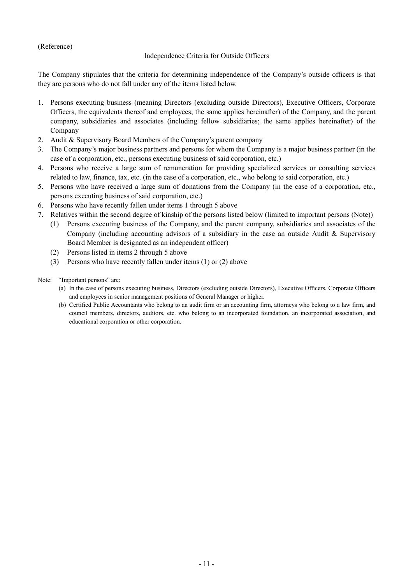(Reference)

## Independence Criteria for Outside Officers

The Company stipulates that the criteria for determining independence of the Company's outside officers is that they are persons who do not fall under any of the items listed below.

- 1. Persons executing business (meaning Directors (excluding outside Directors), Executive Officers, Corporate Officers, the equivalents thereof and employees; the same applies hereinafter) of the Company, and the parent company, subsidiaries and associates (including fellow subsidiaries; the same applies hereinafter) of the Company
- 2. Audit & Supervisory Board Members of the Company's parent company
- 3. The Company's major business partners and persons for whom the Company is a major business partner (in the case of a corporation, etc., persons executing business of said corporation, etc.)
- 4. Persons who receive a large sum of remuneration for providing specialized services or consulting services related to law, finance, tax, etc. (in the case of a corporation, etc., who belong to said corporation, etc.)
- 5. Persons who have received a large sum of donations from the Company (in the case of a corporation, etc., persons executing business of said corporation, etc.)
- 6. Persons who have recently fallen under items 1 through 5 above
- 7. Relatives within the second degree of kinship of the persons listed below (limited to important persons (Note))
	- (1) Persons executing business of the Company, and the parent company, subsidiaries and associates of the Company (including accounting advisors of a subsidiary in the case an outside Audit & Supervisory Board Member is designated as an independent officer)
	- (2) Persons listed in items 2 through 5 above
	- (3) Persons who have recently fallen under items (1) or (2) above
- Note: "Important persons" are:
	- (a) In the case of persons executing business, Directors (excluding outside Directors), Executive Officers, Corporate Officers and employees in senior management positions of General Manager or higher.
	- (b) Certified Public Accountants who belong to an audit firm or an accounting firm, attorneys who belong to a law firm, and council members, directors, auditors, etc. who belong to an incorporated foundation, an incorporated association, and educational corporation or other corporation.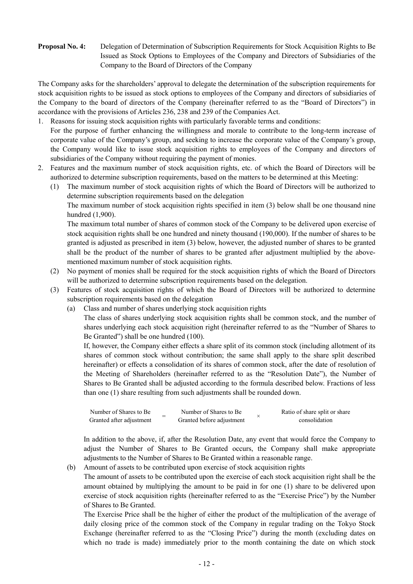## **Proposal No. 4:** Delegation of Determination of Subscription Requirements for Stock Acquisition Rights to Be Issued as Stock Options to Employees of the Company and Directors of Subsidiaries of the Company to the Board of Directors of the Company

The Company asks for the shareholders' approval to delegate the determination of the subscription requirements for stock acquisition rights to be issued as stock options to employees of the Company and directors of subsidiaries of the Company to the board of directors of the Company (hereinafter referred to as the "Board of Directors") in accordance with the provisions of Articles 236, 238 and 239 of the Companies Act.

- 1. Reasons for issuing stock acquisition rights with particularly favorable terms and conditions: For the purpose of further enhancing the willingness and morale to contribute to the long-term increase of corporate value of the Company's group, and seeking to increase the corporate value of the Company's group, the Company would like to issue stock acquisition rights to employees of the Company and directors of subsidiaries of the Company without requiring the payment of monies.
- 2. Features and the maximum number of stock acquisition rights, etc. of which the Board of Directors will be authorized to determine subscription requirements, based on the matters to be determined at this Meeting:
	- (1) The maximum number of stock acquisition rights of which the Board of Directors will be authorized to determine subscription requirements based on the delegation

The maximum number of stock acquisition rights specified in item (3) below shall be one thousand nine hundred (1,900).

The maximum total number of shares of common stock of the Company to be delivered upon exercise of stock acquisition rights shall be one hundred and ninety thousand (190,000). If the number of shares to be granted is adjusted as prescribed in item (3) below, however, the adjusted number of shares to be granted shall be the product of the number of shares to be granted after adjustment multiplied by the abovementioned maximum number of stock acquisition rights.

- (2) No payment of monies shall be required for the stock acquisition rights of which the Board of Directors will be authorized to determine subscription requirements based on the delegation.
- (3) Features of stock acquisition rights of which the Board of Directors will be authorized to determine subscription requirements based on the delegation
	- (a) Class and number of shares underlying stock acquisition rights

The class of shares underlying stock acquisition rights shall be common stock, and the number of shares underlying each stock acquisition right (hereinafter referred to as the "Number of Shares to Be Granted") shall be one hundred (100).

If, however, the Company either effects a share split of its common stock (including allotment of its shares of common stock without contribution; the same shall apply to the share split described hereinafter) or effects a consolidation of its shares of common stock, after the date of resolution of the Meeting of Shareholders (hereinafter referred to as the "Resolution Date"), the Number of Shares to Be Granted shall be adjusted according to the formula described below. Fractions of less than one (1) share resulting from such adjustments shall be rounded down.

| Number of Shares to Be   |  | Number of Shares to Be    | Ratio of share split or share |
|--------------------------|--|---------------------------|-------------------------------|
| Granted after adjustment |  | Granted before adjustment | consolidation                 |

In addition to the above, if, after the Resolution Date, any event that would force the Company to adjust the Number of Shares to Be Granted occurs, the Company shall make appropriate adjustments to the Number of Shares to Be Granted within a reasonable range.

(b) Amount of assets to be contributed upon exercise of stock acquisition rights

The amount of assets to be contributed upon the exercise of each stock acquisition right shall be the amount obtained by multiplying the amount to be paid in for one (1) share to be delivered upon exercise of stock acquisition rights (hereinafter referred to as the "Exercise Price") by the Number of Shares to Be Granted.

The Exercise Price shall be the higher of either the product of the multiplication of the average of daily closing price of the common stock of the Company in regular trading on the Tokyo Stock Exchange (hereinafter referred to as the "Closing Price") during the month (excluding dates on which no trade is made) immediately prior to the month containing the date on which stock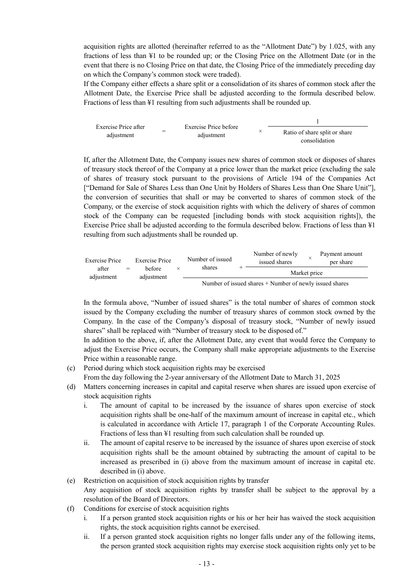acquisition rights are allotted (hereinafter referred to as the "Allotment Date") by 1.025, with any fractions of less than ¥1 to be rounded up; or the Closing Price on the Allotment Date (or in the event that there is no Closing Price on that date, the Closing Price of the immediately preceding day on which the Company's common stock were traded).

If the Company either effects a share split or a consolidation of its shares of common stock after the Allotment Date, the Exercise Price shall be adjusted according to the formula described below. Fractions of less than ¥1 resulting from such adjustments shall be rounded up.



If, after the Allotment Date, the Company issues new shares of common stock or disposes of shares of treasury stock thereof of the Company at a price lower than the market price (excluding the sale of shares of treasury stock pursuant to the provisions of Article 194 of the Companies Act ["Demand for Sale of Shares Less than One Unit by Holders of Shares Less than One Share Unit"], the conversion of securities that shall or may be converted to shares of common stock of the Company, or the exercise of stock acquisition rights with which the delivery of shares of common stock of the Company can be requested [including bonds with stock acquisition rights]), the Exercise Price shall be adjusted according to the formula described below. Fractions of less than ¥1 resulting from such adjustments shall be rounded up.

| Exercise Price      | Exercise Price | Number of issued     | Number of newly<br>issued shares |        | Payment amount<br>per share |  |  |
|---------------------|----------------|----------------------|----------------------------------|--------|-----------------------------|--|--|
| after<br>adiustment | $=$            | hefore<br>adiustment |                                  | shares | Market price                |  |  |
|                     |                |                      |                                  |        |                             |  |  |

Number of issued shares + Number of newly issued shares

In the formula above, "Number of issued shares" is the total number of shares of common stock issued by the Company excluding the number of treasury shares of common stock owned by the Company. In the case of the Company's disposal of treasury stock, "Number of newly issued shares" shall be replaced with "Number of treasury stock to be disposed of."

In addition to the above, if, after the Allotment Date, any event that would force the Company to adjust the Exercise Price occurs, the Company shall make appropriate adjustments to the Exercise Price within a reasonable range.

(c) Period during which stock acquisition rights may be exercised

From the day following the 2-year anniversary of the Allotment Date to March 31, 2025

- (d) Matters concerning increases in capital and capital reserve when shares are issued upon exercise of stock acquisition rights
	- i. The amount of capital to be increased by the issuance of shares upon exercise of stock acquisition rights shall be one-half of the maximum amount of increase in capital etc., which is calculated in accordance with Article 17, paragraph 1 of the Corporate Accounting Rules. Fractions of less than ¥1 resulting from such calculation shall be rounded up.
	- ii. The amount of capital reserve to be increased by the issuance of shares upon exercise of stock acquisition rights shall be the amount obtained by subtracting the amount of capital to be increased as prescribed in (i) above from the maximum amount of increase in capital etc. described in (i) above.
- (e) Restriction on acquisition of stock acquisition rights by transfer Any acquisition of stock acquisition rights by transfer shall be subject to the approval by a resolution of the Board of Directors.
- (f) Conditions for exercise of stock acquisition rights
	- i. If a person granted stock acquisition rights or his or her heir has waived the stock acquisition rights, the stock acquisition rights cannot be exercised.
	- ii. If a person granted stock acquisition rights no longer falls under any of the following items, the person granted stock acquisition rights may exercise stock acquisition rights only yet to be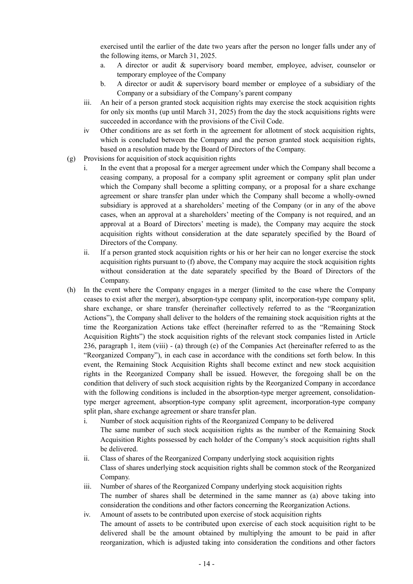exercised until the earlier of the date two years after the person no longer falls under any of the following items, or March 31, 2025.

- a. A director or audit & supervisory board member, employee, adviser, counselor or temporary employee of the Company
- b. A director or audit & supervisory board member or employee of a subsidiary of the Company or a subsidiary of the Company's parent company
- iii. An heir of a person granted stock acquisition rights may exercise the stock acquisition rights for only six months (up until March 31, 2025) from the day the stock acquisitions rights were succeeded in accordance with the provisions of the Civil Code.
- iv Other conditions are as set forth in the agreement for allotment of stock acquisition rights, which is concluded between the Company and the person granted stock acquisition rights, based on a resolution made by the Board of Directors of the Company.
- (g) Provisions for acquisition of stock acquisition rights
	- i. In the event that a proposal for a merger agreement under which the Company shall become a ceasing company, a proposal for a company split agreement or company split plan under which the Company shall become a splitting company, or a proposal for a share exchange agreement or share transfer plan under which the Company shall become a wholly-owned subsidiary is approved at a shareholders' meeting of the Company (or in any of the above cases, when an approval at a shareholders' meeting of the Company is not required, and an approval at a Board of Directors' meeting is made), the Company may acquire the stock acquisition rights without consideration at the date separately specified by the Board of Directors of the Company.
	- ii. If a person granted stock acquisition rights or his or her heir can no longer exercise the stock acquisition rights pursuant to (f) above, the Company may acquire the stock acquisition rights without consideration at the date separately specified by the Board of Directors of the Company.
- (h) In the event where the Company engages in a merger (limited to the case where the Company ceases to exist after the merger), absorption-type company split, incorporation-type company split, share exchange, or share transfer (hereinafter collectively referred to as the "Reorganization Actions"), the Company shall deliver to the holders of the remaining stock acquisition rights at the time the Reorganization Actions take effect (hereinafter referred to as the "Remaining Stock Acquisition Rights") the stock acquisition rights of the relevant stock companies listed in Article 236, paragraph 1, item (viii) - (a) through (e) of the Companies Act (hereinafter referred to as the "Reorganized Company"), in each case in accordance with the conditions set forth below. In this event, the Remaining Stock Acquisition Rights shall become extinct and new stock acquisition rights in the Reorganized Company shall be issued. However, the foregoing shall be on the condition that delivery of such stock acquisition rights by the Reorganized Company in accordance with the following conditions is included in the absorption-type merger agreement, consolidationtype merger agreement, absorption-type company split agreement, incorporation-type company split plan, share exchange agreement or share transfer plan.
	- i. Number of stock acquisition rights of the Reorganized Company to be delivered The same number of such stock acquisition rights as the number of the Remaining Stock Acquisition Rights possessed by each holder of the Company's stock acquisition rights shall be delivered.
	- ii. Class of shares of the Reorganized Company underlying stock acquisition rights Class of shares underlying stock acquisition rights shall be common stock of the Reorganized Company.
	- iii. Number of shares of the Reorganized Company underlying stock acquisition rights The number of shares shall be determined in the same manner as (a) above taking into consideration the conditions and other factors concerning the Reorganization Actions.
	- iv. Amount of assets to be contributed upon exercise of stock acquisition rights The amount of assets to be contributed upon exercise of each stock acquisition right to be delivered shall be the amount obtained by multiplying the amount to be paid in after reorganization, which is adjusted taking into consideration the conditions and other factors